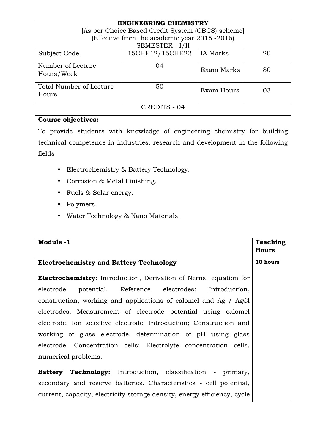| <b>ENGINEERING CHEMISTRY</b>                      |                 |            |    |  |
|---------------------------------------------------|-----------------|------------|----|--|
| [As per Choice Based Credit System (CBCS) scheme] |                 |            |    |  |
| (Effective from the academic year 2015 -2016)     |                 |            |    |  |
| SEMESTER - I/II                                   |                 |            |    |  |
| Subject Code                                      | 15CHE12/15CHE22 | IA Marks   | 20 |  |
| Number of Lecture<br>Hours/Week                   | 04              | Exam Marks | 80 |  |
| Total Number of Lecture<br>Hours                  | 50              | Exam Hours | 03 |  |
| CREDITS - 04                                      |                 |            |    |  |

# **Course objectives:**

To provide students with knowledge of engineering chemistry for building technical competence in industries, research and development in the following fields

- Electrochemistry & Battery Technology.
- Corrosion & Metal Finishing.
- Fuels & Solar energy.
- Polymers.
- Water Technology & Nano Materials.

| Module -1                                                                | Teaching     |  |
|--------------------------------------------------------------------------|--------------|--|
|                                                                          | <b>Hours</b> |  |
|                                                                          |              |  |
| <b>Electrochemistry and Battery Technology</b>                           |              |  |
|                                                                          |              |  |
| <b>Electrochemistry:</b> Introduction, Derivation of Nernst equation for |              |  |
| electrode potential. Reference electrodes: Introduction,                 |              |  |
| construction, working and applications of calomel and Ag / AgCl          |              |  |
| electrodes. Measurement of electrode potential using calomel             |              |  |
| electrode. Ion selective electrode: Introduction; Construction and       |              |  |
| working of glass electrode, determination of pH using glass              |              |  |
| electrode. Concentration cells: Electrolyte concentration cells,         |              |  |
| numerical problems.                                                      |              |  |
|                                                                          |              |  |
| <b>Battery Technology:</b> Introduction, classification - primary,       |              |  |
| secondary and reserve batteries. Characteristics - cell potential,       |              |  |
| current, capacity, electricity storage density, energy efficiency, cycle |              |  |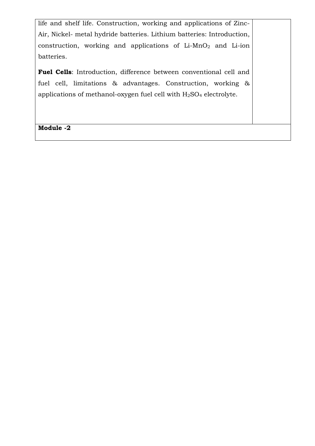life and shelf life. Construction, working and applications of Zinc-Air, Nickel- metal hydride batteries. Lithium batteries: Introduction, construction, working and applications of  $Li-MnO<sub>2</sub>$  and  $Li-ion$ batteries.

**Fuel Cells**: Introduction, difference between conventional cell and fuel cell, limitations & advantages. Construction, working & applications of methanol-oxygen fuel cell with H2SO4 electrolyte.

**Module -2**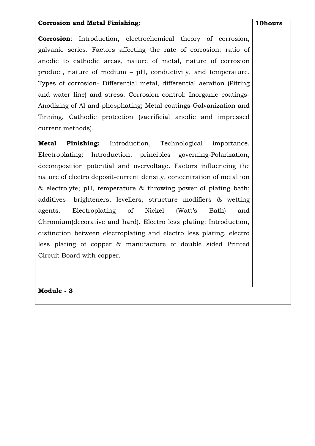### **Corrosion and Metal Finishing:**

**Corrosion**: Introduction, electrochemical theory of corrosion, galvanic series. Factors affecting the rate of corrosion: ratio of anodic to cathodic areas, nature of metal, nature of corrosion product, nature of medium – pH, conductivity, and temperature. Types of corrosion- Differential metal, differential aeration (Pitting and water line) and stress. Corrosion control: Inorganic coatings-Anodizing of Al and phosphating; Metal coatings-Galvanization and Tinning. Cathodic protection (sacrificial anodic and impressed current methods).

**Metal Finishing:** Introduction, Technological importance. Electroplating: Introduction, principles governing-Polarization, decomposition potential and overvoltage. Factors influencing the nature of electro deposit-current density, concentration of metal ion & electrolyte; pH, temperature & throwing power of plating bath; additives- brighteners, levellers, structure modifiers & wetting agents. Electroplating of Nickel (Watt's Bath) and Chromium(decorative and hard). Electro less plating: Introduction, distinction between electroplating and electro less plating, electro less plating of copper & manufacture of double sided Printed Circuit Board with copper.

**Module - 3**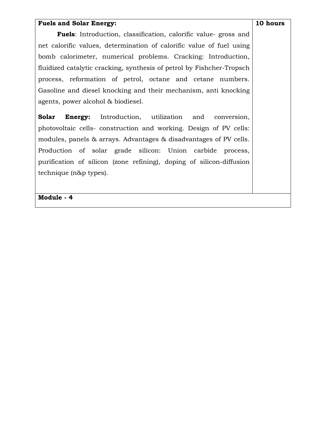### **Fuels and Solar Energy:**

**10 hours** 

 **Fuels**: Introduction, classification, calorific value- gross and net calorific values, determination of calorific value of fuel using bomb calorimeter, numerical problems. Cracking: Introduction, fluidized catalytic cracking, synthesis of petrol by Fishcher-Tropsch process, reformation of petrol, octane and cetane numbers. Gasoline and diesel knocking and their mechanism, anti knocking agents, power alcohol & biodiesel.

**Solar Energy:** Introduction, utilization and conversion, photovoltaic cells- construction and working. Design of PV cells: modules, panels & arrays. Advantages & disadvantages of PV cells. Production of solar grade silicon: Union carbide process, purification of silicon (zone refining), doping of silicon-diffusion technique (n&p types).

**Module - 4**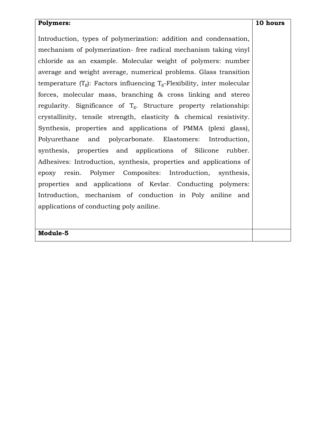### **Polymers:**

Introduction, types of polymerization: addition and condensation, mechanism of polymerization- free radical mechanism taking vinyl chloride as an example. Molecular weight of polymers: number average and weight average, numerical problems. Glass transition temperature  $(T_g)$ : Factors influencing  $T_g$ -Flexibility, inter molecular forces, molecular mass, branching & cross linking and stereo regularity. Significance of  $T_g$ . Structure property relationship: crystallinity, tensile strength, elasticity & chemical resistivity. Synthesis, properties and applications of PMMA (plexi glass), Polyurethane and polycarbonate. Elastomers: Introduction, synthesis, properties and applications of Silicone rubber. Adhesives: Introduction, synthesis, properties and applications of epoxy resin. Polymer Composites: Introduction, synthesis, properties and applications of Kevlar. Conducting polymers: Introduction, mechanism of conduction in Poly aniline and applications of conducting poly aniline.

**Module-5**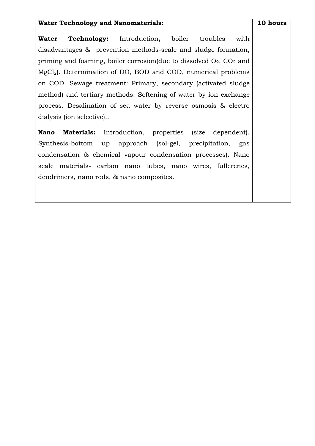### **Water Technology and Nanomaterials:**

**Water Technology:** Introduction**,** boiler troubles with disadvantages & prevention methods-scale and sludge formation, priming and foaming, boiler corrosion(due to dissolved  $O_2$ ,  $CO_2$  and MgCl<sub>2</sub>). Determination of DO, BOD and COD, numerical problems on COD. Sewage treatment: Primary, secondary (activated sludge method) and tertiary methods. Softening of water by ion exchange process. Desalination of sea water by reverse osmosis & electro dialysis (ion selective)..

**Nano Materials:** Introduction, properties (size dependent). Synthesis-bottom up approach (sol-gel, precipitation, gas condensation & chemical vapour condensation processes). Nano scale materials- carbon nano tubes, nano wires, fullerenes, dendrimers, nano rods, & nano composites.

#### **10 hours**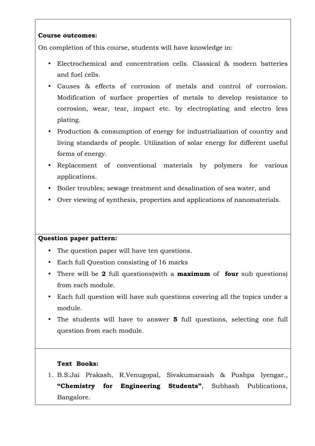# **Course outcomes:**

On completion of this course, students will have knowledge in:

- Electrochemical and concentration cells. Classical & modern batteries and fuel cells.
- Causes & effects of corrosion of metals and control of corrosion. Modification of surface properties of metals to develop resistance to corrosion, wear, tear, impact etc. by electroplating and electro less plating.
- Production & consumption of energy for industrialization of country and living standards of people. Utilization of solar energy for different useful forms of energy.
- Replacement of conventional materials by polymers for various applications.
- Boiler troubles; sewage treatment and desalination of sea water, and
- Over viewing of synthesis, properties and applications of nanomaterials.

# **Question paper pattern:**

- The question paper will have ten questions.
- Each full Question consisting of 16 marks
- There will be **2** full questions(with a **maximum** of **four** sub questions) from each module.
- Each full question will have sub questions covering all the topics under a module.
- The students will have to answer **5** full questions, selecting one full question from each module.

# **Text Books:**

1. B.S.Jai Prakash, R.Venugopal, Sivakumaraiah & Pushpa Iyengar., **"Chemistry for Engineering Students"**, Subhash Publications, Bangalore.